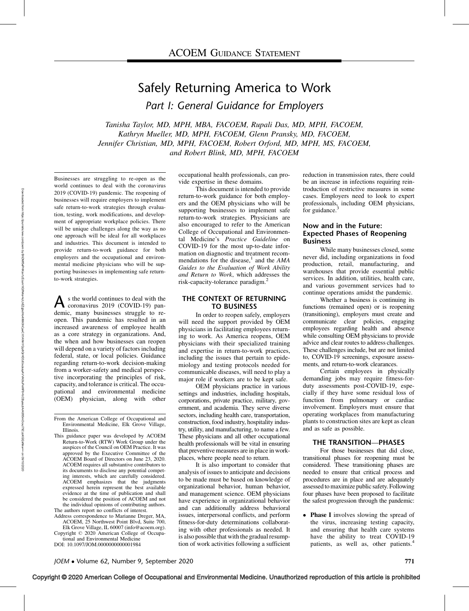# Safely Returning America to Work

Part I: General Guidance for Employers

Tanisha Taylor, MD, MPH, MBA, FACOEM, Rupali Das, MD, MPH, FACOEM, Kathryn Mueller, MD, MPH, FACOEM, Glenn Pransky, MD, FACOEM, Jennifer Christian, MD, MPH, FACOEM, Robert Orford, MD, MPH, MS, FACOEM, and Robert Blink, MD, MPH, FACOEM

Businesses are struggling to re-open as the world continues to deal with the coronavirus 2019 (COVID-19) pandemic. The reopening of businesses will require employers to implement safe return-to-work strategies through evaluation, testing, work modifications, and development of appropriate workplace policies. There will be unique challenges along the way as no one approach will be ideal for all workplaces and industries. This document is intended to provide return-to-work guidance for both employers and the occupational and environmental medicine physicians who will be supporting businesses in implementing safe returnto-work strategies.

A s the world continues to deal with the coronavirus 2019 (COVID-19) pandemic, many businesses struggle to reopen. This pandemic has resulted in an increased awareness of employee health as a core strategy in organizations. And, the when and how businesses can reopen will depend on a variety of factors including federal, state, or local policies. Guidance regarding return-to-work decision-making from a worker-safety and medical perspective incorporating the principles of risk, capacity, and tolerance is critical. The occupational and environmental medicine (OEM) physician, along with other

From the American College of Occupational and Environmental Medicine, Elk Grove Village, Illinois.

This guidance paper was developed by ACOEM Return-to-Work (RTW) Work Group under the auspices of the Council on OEM Practice. It was approved by the Executive Committee of the ACOEM Board of Directors on June 23, 2020. ACOEM requires all substantive contributors to its documents to disclose any potential competing interests, which are carefully considered. ACOEM emphasizes that the judgments expressed herein represent the best available evidence at the time of publication and shall be considered the position of ACOEM and not the individual opinions of contributing authors. The authors report no conflicts of interest.

Address correspondence to Marianne Dreger, MA, ACOEM, 25 Northwest Point Blvd, Suite 700,

Elk Grove Village, IL 60007 [\(info@acoem.org](mailto:info@acoem.org)). Copyright © 2020 American College of Occupational and Environmental Medicine

DOI: 10.1097/JOM.0000000000001984

occupational health professionals, can provide expertise in these domains.

This document is intended to provide return-to-work guidance for both employers and the OEM physicians who will be supporting businesses to implement safe return-to-work strategies. Physicians are also encouraged to refer to the American College of Occupational and Environmental Medicine's Practice Guideline on COVID-19 for the most up-to-date information on diagnostic and treatment recommendations for the disease, $^{1}$  and the AMA Guides to the Evaluation of Work Ability and Return to Work, which addresses the risk-capacity-tolerance paradigm.<sup>2</sup>

# THE CONTEXT OF RETURNING TO BUSINESS

In order to reopen safely, employers will need the support provided by OEM physicians in facilitating employees returning to work. As America reopens, OEM physicians with their specialized training and expertise in return-to-work practices, including the issues that pertain to epidemiology and testing protocols needed for communicable diseases, will need to play a major role if workers are to be kept safe.

OEM physicians practice in various settings and industries, including hospitals, corporations, private practice, military, government, and academia. They serve diverse sectors, including health care, transportation, construction, food industry, hospitality industry, utility, and manufacturing, to name a few. These physicians and all other occupational health professionals will be vital in ensuring that preventive measures are in place in workplaces, where people need to return.

It is also important to consider that analysis of issues to anticipate and decisions to be made must be based on knowledge of organizational behavior, human behavior, and management science. OEM physicians have experience in organizational behavior and can additionally address behavioral issues, interpersonal conflicts, and perform fitness-for-duty determinations collaborating with other professionals as needed. It is also possible that with the gradual resumption of work activities following a sufficient reduction in transmission rates, there could be an increase in infections requiring reintroduction of restrictive measures in some cases. Employers need to look to expert professionals, including OEM physicians, for guidance.<sup>3</sup>

# Now and in the Future: Expected Phases of Reopening **Business**

While many businesses closed, some never did, including organizations in food production, retail, manufacturing, and warehouses that provide essential public services. In addition, utilities, health care, and various government services had to continue operations amidst the pandemic.

Whether a business is continuing its functions (remained open) or is reopening (transitioning), employers must create and communicate clear policies, engaging employees regarding health and absence while consulting OEM physicians to provide advice and clear routes to address challenges. These challenges include, but are not limited to, COVID-19 screenings, exposure assessments, and return-to-work clearances.

Certain employees in physically demanding jobs may require fitness-forduty assessments post-COVID-19, especially if they have some residual loss of function from pulmonary or cardiac involvement. Employers must ensure that operating workplaces from manufacturing plants to construction sites are kept as clean and as safe as possible.

# THE TRANSITION—PHASES

For those businesses that did close, transitional phases for reopening must be considered. These transitioning phases are needed to ensure that critical process and procedures are in place and are adequately assessed to maximize public safety. Following four phases have been proposed to facilitate the safest progression through the pandemic:

• Phase I involves slowing the spread of the virus, increasing testing capacity, and ensuring that health care systems have the ability to treat COVID-19 patients, as well as, other patients.<sup>4</sup>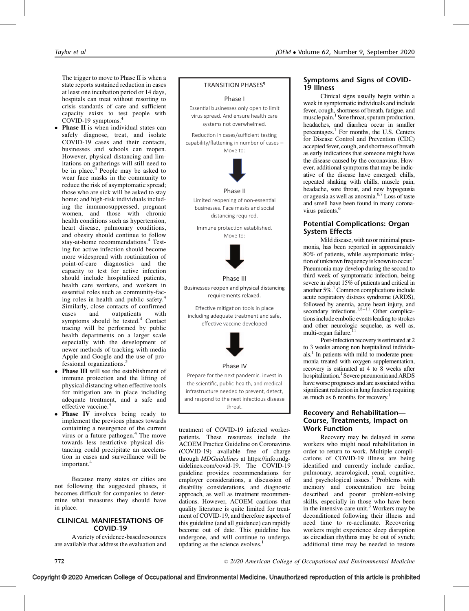The trigger to move to Phase II is when a state reports sustained reduction in cases at least one incubation period or 14 days, hospitals can treat without resorting to crisis standards of care and sufficient capacity exists to test people with COVID-19 symptoms.<sup>4</sup>

- Phase II is when individual states can safely diagnose, treat, and isolate COVID-19 cases and their contacts, businesses and schools can reopen. However, physical distancing and limitations on gatherings will still need to<br>be in place.<sup>4</sup> People may be asked to wear face masks in the community to reduce the risk of asymptomatic spread; those who are sick will be asked to stay home; and high-risk individuals including the immunosuppressed, pregnant women, and those with chronic health conditions such as hypertension, heart disease, pulmonary conditions, and obesity should continue to follow stay-at-home recommendations.<sup>4</sup> Testing for active infection should become more widespread with routinization of point-of-care diagnostics and the capacity to test for active infection should include hospitalized patients, health care workers, and workers in essential roles such as community-facing roles in health and public safety.<sup>4</sup> Similarly, close contacts of confirmed cases and outpatients with symptoms should be tested. $4$  Contact tracing will be performed by public health departments on a larger scale especially with the development of newer methods of tracking with media Apple and Google and the use of professional organizations.<sup>5</sup>
- Phase III will see the establishment of immune protection and the lifting of physical distancing when effective tools for mitigation are in place including adequate treatment, and a safe and effective vaccine.<sup>4</sup>
- $\bullet$ Phase IV involves being ready to implement the previous phases towards containing a resurgence of the current virus or a future pathogen.<sup>4</sup> The move towards less restrictive physical distancing could precipitate an acceleration in cases and surveillance will be important.<sup>4</sup>

Because many states or cities are not following the suggested phases, it becomes difficult for companies to determine what measures they should have in place.

# CLINICAL MANIFESTATIONS OF COVID-19

Avariety of evidence-based resources are available that address the evaluation and

### TRANSITION PHASES<sup>9</sup>

### Phase I

Essential businesses only open to limit virus spread. And ensure health care systems not overwhelmed.

Reduction in cases/sufficient testing capability/flattening in number of cases  $-$ Move to:



#### Phase II

Limited reopening of non-essential businesses. Face masks and social distancing required.

Immune protection established. Move to:



#### Phase III

Businesses reopen and physical distancing requirements relaxed.

Effective mitigation tools in place including adequate treatment and safe, effective vaccine developed



#### Phase IV

Prepare for the next pandemic. invest in the scientific, public-health, and medical infrastructure needed to prevent, detect, and respond to the next infectious disease threat.

treatment of COVID-19 infected workerpatients. These resources include the ACOEM Practice Guideline on Coronavirus (COVID-19) available free of charge through MDGuidelines at [https://info.mdg](https://info.mdguidelines.com/covid-19)[uidelines.com/covid-19](https://info.mdguidelines.com/covid-19). The COVID-19 guideline provides recommendations for employer considerations, a discussion of disability considerations, and diagnostic approach, as well as treatment recommendations. However, ACOEM cautions that quality literature is quite limited for treatment of COVID-19, and therefore aspects of this guideline (and all guidance) can rapidly become out of date. This guideline has undergone, and will continue to undergo, updating as the science evolves.<sup>1</sup>

# Symptoms and Signs of COVID-19 Illness

Clinical signs usually begin within a week in symptomatic individuals and include fever, cough, shortness of breath, fatigue, and muscle pain.<sup>1</sup> Sore throat, sputum production, headaches, and diarrhea occur in smaller percentages.1 For months, the U.S. Centers for Disease Control and Prevention (CDC) accepted fever, cough, and shortness of breath as early indications that someone might have the disease caused by the coronavirus. However, additional symptoms that may be indicative of the disease have emerged: chills, repeated shaking with chills, muscle pain, headache, sore throat, and new hypogeusia or ageusia as well as anosmia.6,7 Loss of taste and smell have been found in many coronavirus patients.<sup>6</sup>

# Potential Complications: Organ System Effects

Mild disease, with no or minimal pneumonia, has been reported in approximately 80% of patients, while asymptomatic infection of unknown frequency is known to occur.<sup>1</sup> Pneumonia may develop during the second to third week of symptomatic infection, being severe in about 15% of patients and critical in another  $5\%$ .<sup>1</sup> Common complications include acute respiratory distress syndrome (ARDS), followed by anemia, acute heart injury, and secondary infections.<sup>1,8–11</sup> Other complications include embolic events leading to strokes and other neurologic sequelae, as well as, multi-organ failure.

Post-infection recovery is estimated at 2 to 3 weeks among non hospitalized individu $als<sup>1</sup>$  In patients with mild to moderate pneumonia treated with oxygen supplementation, recovery is estimated at 4 to 8 weeks after hospitalization.<sup>1</sup> Severe pneumonia and ARDS have worse prognoses and are associated with a significant reduction in lung function requiring as much as 6 months for recovery.<sup>1</sup>

### Recovery and Rehabilitation— Course, Treatments, Impact on Work Function

Recovery may be delayed in some workers who might need rehabilitation in order to return to work. Multiple complications of COVID-19 illness are being identified and currently include cardiac, pulmonary, neurological, renal, cognitive, and psychological issues.<sup>1</sup> Problems with memory and concentration are being described and poorer problem-solving skills, especially in those who have been in the intensive care unit.<sup>3</sup> Workers may be deconditioned following their illness and need time to re-acclimate. Recovering workers might experience sleep disruption as circadian rhythms may be out of synch; additional time may be needed to restore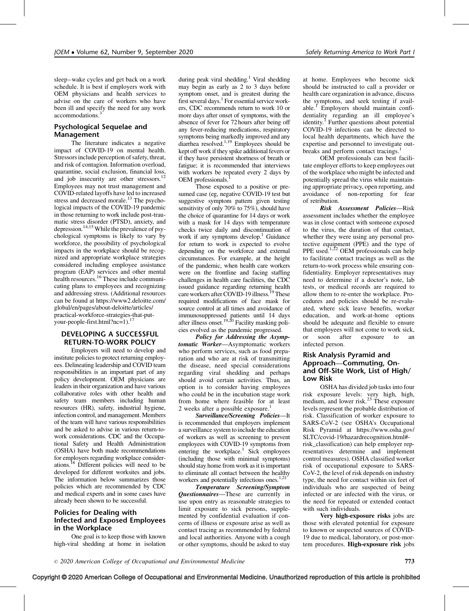sleep–wake cycles and get back on a work schedule. It is best if employers work with OEM physicians and health services to advise on the care of workers who have been ill and specify the need for any work accommodations.<sup>3</sup>

# Psychological Sequelae and Management

The literature indicates a negative impact of COVID-19 on mental health. Stressors include perception of safety, threat, and risk of contagion. Information overload, quarantine, social exclusion, financial loss, and job insecurity are other stressors.<sup>1</sup> Employees may not trust management and COVID-related layoffs have led to increased stress and decreased morale.<sup>13</sup> The psychological impacts of the COVID-19 pandemic in those returning to work include post-traumatic stress disorder (PTSD), anxiety, and depression.<sup>14,15</sup> While the prevalence of psychological symptoms is likely to vary by workforce, the possibility of psychological impacts in the workplace should be recognized and appropriate workplace strategies considered including employee assistance program (EAP) services and other mental health resources.<sup>16</sup> These include communicating plans to employees and recognizing and addressing stress. (Additional resources can be found at [https://www2.deloitte.com/](https://www2.deloitte.com/global/en/pages/about-deloitte/articles/practical-workforce-strategies-that-put-your-people-first.html?nc=1) [global/en/pages/about-deloitte/articles/](https://www2.deloitte.com/global/en/pages/about-deloitte/articles/practical-workforce-strategies-that-put-your-people-first.html?nc=1) [practical-workforce-strategies-that-put](https://www2.deloitte.com/global/en/pages/about-deloitte/articles/practical-workforce-strategies-that-put-your-people-first.html?nc=1)[your-people-first.html?nc=1](https://www2.deloitte.com/global/en/pages/about-deloitte/articles/practical-workforce-strategies-that-put-your-people-first.html?nc=1)).<sup>17</sup>

# DEVELOPING A SUCCESSFUL RETURN-TO-WORK POLICY

Employers will need to develop and institute policies to protect returning employees. Delineating leadership and COVID team responsibilities is an important part of any policy development. OEM physicians are leaders in their organization and have various collaborative roles with other health and safety team members including human resources (HR), safety, industrial hygiene, infection control, and management. Members of the team will have various responsibilities and be asked to advise in various return-towork considerations. CDC and the Occupational Safety and Health Administration (OSHA) have both made recommendations for employers regarding workplace considerations.18 Different policies will need to be developed for different worksites and jobs. The information below summarizes those policies which are recommended by CDC and medical experts and in some cases have already been shown to be successful.

# Policies for Dealing with Infected and Exposed Employees in the Workplace

One goal is to keep those with known high-viral shedding at home in isolation

during peak viral shedding.<sup>1</sup> Viral shedding may begin as early as 2 to 3 days before symptom onset, and is greatest during the first several days.<sup>1</sup> For essential service workers, CDC recommends return to work 10 or more days after onset of symptoms, with the absence of fever for 72 hours after being off any fever-reducing medications, respiratory symptoms being markedly improved and any diarrhea resolved.1,19 Employees should be kept off work if they spike additional fevers or if they have persistent shortness of breath or fatigue; it is recommended that interviews with workers be repeated every 2 days by OEM professionals.

Those exposed to a positive or presumed case (eg, negative COVID-19 test but suggestive symptom pattern given testing sensitivity of only 70% to 75%), should have the choice of quarantine for 14 days or work with a mask for 14 days with temperature checks twice daily and discontinuation of work if any symptoms develop. $\frac{1}{1}$  Guidance for return to work is expected to evolve depending on the workforce and external circumstances. For example, at the height of the pandemic, when health care workers were on the frontline and facing staffing challenges in health care facilities, the CDC issued guidance regarding returning health care workers after COVID-19 illness.<sup>19</sup> These care workers after COVID-19 illness.<sup>1</sup> required modifications of face mask for source control at all times and avoidance of immunosuppressed patients until 14 days<br>after illness onset.<sup>19,20</sup> Facility masking policies evolved as the pandemic progressed.

Policy for Addressing the Asymptomatic Worker—Asymptomatic workers who perform services, such as food preparation and who are at risk of transmitting the disease, need special considerations regarding viral shedding and perhaps should avoid certain activities. Thus, an option is to consider having employees who could be in the incubation stage work from home where feasible for at least 2 weeks after a possible exposure.<sup>1</sup>

Surveillance/Screening Policies—It is recommended that employers implement a surveillance system to include the education of workers as well as screening to prevent employees with COVID-19 symptoms from entering the workplace.<sup>1</sup> Sick employees (including those with minimal symptoms) should stay home from work as it is important to eliminate all contact between the healthy workers and potentially infectious ones.<sup>1,21</sup>

Temperature Screening/Symptom Questionnaires—These are currently in use upon entry as reasonable strategies to limit exposure to sick persons, supplemented by confidential evaluation if concerns of illness or exposure arise as well as contact tracing as recommended by federal and local authorities. Anyone with a cough or other symptoms, should be asked to stay

at home. Employees who become sick should be instructed to call a provider or health care organization in advance, discuss the symptoms, and seek testing if available.<sup>1</sup> Employers should maintain confidentiality regarding an ill employee's identity.<sup>1</sup> Further questions about potential COVID-19 infections can be directed to local health departments, which have the expertise and personnel to investigate outbreaks and perform contact tracings.<sup>1</sup>

OEM professionals can best facilitate employer efforts to keep employees out of the workplace who might be infected and potentially spread the virus while maintaining appropriate privacy, open reporting, and avoidance of non-reporting for fear of retribution.

Risk Assessment Policies—Risk assessment includes whether the employee was in close contact with someone exposed to the virus, the duration of that contact, whether they were using any personal protective equipment (PPE) and the type of PPE used.<sup>1,22</sup> OEM professionals can help to facilitate contact tracings as well as the return-to-work process while ensuring confidentiality. Employer representatives may need to determine if a doctor's note, lab tests, or medical records are required to allow them to re-enter the workplace. Procedures and policies should be re-evaluated, where sick leave benefits, worker education, and work-at-home options should be adequate and flexible to ensure that employees will not come to work sick,<br>or soon after exposure to an exposure to an infected person.

# Risk Analysis Pyramid and Approach—Commuting, Onand Off-Site Work, List of High/ Low Risk

OSHA has divided job tasks into four risk exposure levels: very high, high, medium, and lower risk.<sup>23</sup> These exposure levels represent the probable distribution of risk. Classification of worker exposure to SARS-CoV-2 (see OSHA's Occupational Risk Pyramid at [https://www.osha.gov/](https://www.osha.gov/SLTC/covid-19/hazardrecognition.html%23risk_classification) [SLTC/covid-19/hazardrecognition.html#](https://www.osha.gov/SLTC/covid-19/hazardrecognition.html%23risk_classification) [risk\\_classification](https://www.osha.gov/SLTC/covid-19/hazardrecognition.html%23risk_classification)) can help employer representatives determine and implement control measures). OSHA classified worker risk of occupational exposure to SARS-CoV-2, the level of risk depends on industry type, the need for contact within six feet of individuals who are suspected of being infected or are infected with the virus, or the need for repeated or extended contact with such individuals.

Very high-exposure risks jobs are those with elevated potential for exposure to known or suspected sources of COVID-19 due to medical, laboratory, or post-mortem procedures. High-exposure risk jobs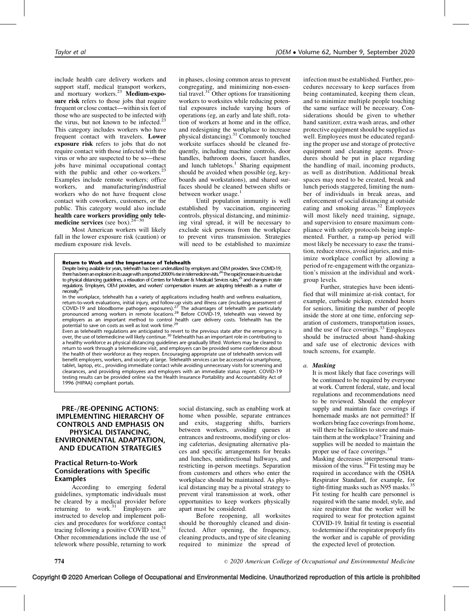include health care delivery workers and support staff, medical transport workers, and mortuary workers.23 Medium-exposure risk refers to those jobs that require frequent or close contact—within six feet of those who are suspected to be infected with the virus, but not known to be infected. $2$ This category includes workers who have frequent contact with travelers. Lower exposure risk refers to jobs that do not require contact with those infected with the virus or who are suspected to be so—these jobs have minimal occupational contact with the public and other co-workers.<sup>2</sup> Examples include remote workers; office workers, and manufacturing/industrial workers who do not have frequent close contact with coworkers, customers, or the public. This category would also include health care workers providing only tele-<br> $\frac{1}{24}$ medicine services (see box).<sup>2</sup>

Most American workers will likely fall in the lower exposure risk (caution) or medium exposure risk levels.

in phases, closing common areas to prevent congregating, and minimizing non-essential travel.<sup>31</sup> Other options for transitioning workers to worksites while reducing potential exposures include varying hours of operations (eg, an early and late shift, rotation of workers at home and in the office, and redesigning the workplace to increase physical distancing).31 Commonly touched worksite surfaces should be cleaned frequently, including machine controls, door handles, bathroom doors, faucet handles, and lunch tabletops.<sup>1</sup> Sharing equipment should be avoided when possible (eg, keyboards and workstations), and shared surfaces should be cleaned between shifts or between worker usage.<sup>1</sup>

Until population immunity is well established by vaccination, engineering controls, physical distancing, and minimizing viral spread, it will be necessary to exclude sick persons from the workplace to prevent virus transmission. Strategies will need to be established to maximize

#### Return to Work and the Importance of Telehealth

Despite being available for years, telehealth has been underutilized by employers and OEM providers. Since COVID-19, begins being are about the usage with a reported 2000% rise in telemedicine visits.<sup>24</sup>The rapid increase in its use is due to physical distancing guidelines, a relaxation of Centers for Medicare & Medicaid Services rules,<sup>25</sup> and changes in state regulations. Employers, OEM providers, and workers' compensation insurers are adopting telehealth as a matter of necessity.<sup>2</sup>

In the workplace, telehealth has a variety of applications including health and wellness evaluations, return-to-work evaluations, initial injury, and follow-up visits and illness care (including assessment of<br>COVID-19 and bloodborne pathogen exposures).<sup>27</sup> The advantages of telehealth are particularly<br>pronounced among wor employers as an important method to control health care delivery costs. Telehealth has the<br>potential to save on costs as well as lost work time.<sup>29</sup>

Even as telehealth regulations are anticipated to revert to the previous state after the emergency is<br>over, the use of telemedicine will likely continue.<sup>30</sup> Telehealth has an important role in contributing to a healthy workforce as physical distancing guidelines are gradually lifted. Workers may be cleared to return to work through a telemedicine visit, and employers can be provided some confidence about the health of their workforce as they reopen. Encouraging appropriate use of telehealth services will benefit employers, workers, and society at large. Telehealth services can be accessed via smartphone, tablet, laptop, etc., providing immediate contact while avoiding unnecessary visits for screening and clearances, and providing employees and employers with an immediate status report. COVID-19 testing results can be provided online via the Health Insurance Portability and Accountability Act of 1996 (HIPAA) compliant portals.

# PRE-/RE-OPENING ACTIONS: IMPLEMENTING HIERARCHY OF CONTROLS AND EMPHASIS ON PHYSICAL DISTANCING, ENVIRONMENTAL ADAPTATION, AND EDUCATION STRATEGIES

# Practical Return-to-Work Considerations with Specific Examples

According to emerging federal guidelines, symptomatic individuals must be cleared by a medical provider before returning to work. $31$  Employers are instructed to develop and implement policies and procedures for workforce contact tracing following a positive COVID test.<sup>31</sup> Other recommendations include the use of telework where possible, returning to work

social distancing, such as enabling work at home when possible, separate entrances and exits, staggering shifts, barriers between workers, avoiding queues at entrances and restrooms, modifying or closing cafeterias, designating alternative places and specific arrangements for breaks and lunches, unidirectional hallways, and restricting in-person meetings. Separation from customers and others who enter the workplace should be maintained. As physical distancing may be a pivotal strategy to prevent viral transmission at work, other opportunities to keep workers physically apart must be considered.

Before reopening, all worksites should be thoroughly cleaned and disinfected. After opening, the frequency, cleaning products, and type of site cleaning required to minimize the spread of

infection must be established. Further, procedures necessary to keep surfaces from being contaminated, keeping them clean, and to minimize multiple people touching the same surface will be necessary. Considerations should be given to whether hand sanitizer, extra wash areas, and other protective equipment should be supplied as well. Employees must be educated regarding the proper use and storage of protective equipment and cleaning agents. Procedures should be put in place regarding the handling of mail, incoming products, as well as distribution. Additional break spaces may need to be created, break and lunch periods staggered, limiting the number of individuals in break areas, and enforcement of social distancing at outside eating and smoking areas.<sup>32</sup> Employees will most likely need training, signage, and supervision to ensure maximum compliance with safety protocols being implemented. Further, a ramp-up period will most likely be necessary to ease the transition, reduce stress, avoid injuries, and minimize workplace conflict by allowing a period of re-engagement with the organization's mission at the individual and workgroup levels.

Further, strategies have been identified that will minimize at-risk contact, for example, curbside pickup, extended hours for seniors, limiting the number of people inside the store at one time, enforcing separation of customers, transportation issues, and the use of face coverings.<sup>33</sup> Employees should be instructed about hand-shaking and safe use of electronic devices with touch screens, for example.

#### a. Masking

It is most likely that face coverings will be continued to be required by everyone at work. Current federal, state, and local regulations and recommendations need to be reviewed. Should the employer supply and maintain face coverings if homemade masks are not permitted? If workers bring face coverings from home, will there be facilities to store and maintain them at the workplace? Training and supplies will be needed to maintain the proper use of face coverings. $34$ 

Masking decreases interpersonal transmission of the virus.<sup>34</sup> Fit testing may be required in accordance with the OSHA Respirator Standard, for example, for tight-fitting masks such as  $N95$  masks.<sup>35</sup> Fit testing for health care personnel is required with the same model, style, and size respirator that the worker will be required to wear for protection against COVID-19. Initial fit testing is essential to determine if the respirator properly fits the worker and is capable of providing the expected level of protection.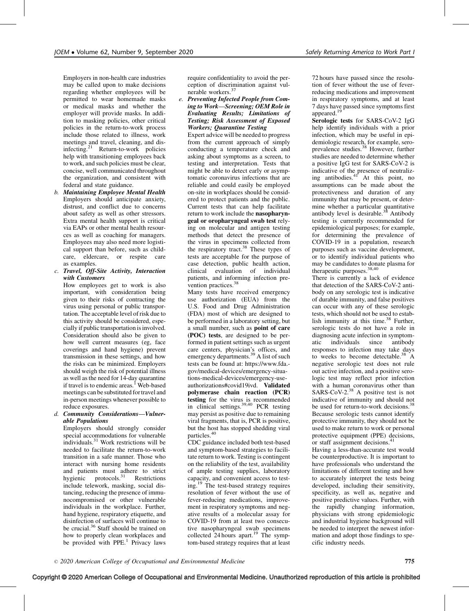Employers in non-health care industries may be called upon to make decisions regarding whether employees will be permitted to wear homemade masks or medical masks and whether the employer will provide masks. In addition to masking policies, other critical policies in the return-to-work process include those related to illness, work meetings and travel, cleaning, and disinfecting.<sup>21</sup> Return-to-work policies help with transitioning employees back to work, and such policies must be clear, concise, well communicated throughout the organization, and consistent with federal and state guidance.

- b. Maintaining Employee Mental Health Employers should anticipate anxiety, distrust, and conflict due to concerns about safety as well as other stressors. Extra mental health support is critical via EAPs or other mental health resources as well as coaching for managers. Employees may also need more logistical support than before, such as childcare, eldercare, or respite care as examples.
- c. Travel, Off-Site Activity, Interaction with Customers

How employees get to work is also important, with consideration being given to their risks of contracting the virus using personal or public transportation. The acceptable level of risk due to this activity should be considered, especially if public transportation is involved. Consideration should also be given to how well current measures (eg, face coverings and hand hygiene) prevent transmission in these settings, and how the risks can be minimized. Employers should weigh the risk of potential illness as well as the need for 14-day quarantine if travel is to endemic areas.<sup>1</sup> Web-based meetings can be substituted for travel and in-person meetings whenever possible to reduce exposures.

d. Community Considerations—Vulnerable Populations

Employers should strongly consider special accommodations for vulnerable individuals.<sup>31</sup> Work restrictions will be needed to facilitate the return-to-work transition in a safe manner. Those who interact with nursing home residents and patients must adhere to strict<br>hygienic protocols.<sup>31</sup> Restrictions protocols. $31$ include telework, masking, social distancing, reducing the presence of immunocompromised or other vulnerable individuals in the workplace. Further, hand hygiene, respiratory etiquette, and disinfection of surfaces will continue to be crucial.<sup>36</sup> Staff should be trained on how to properly clean workplaces and be provided with  $PPE<sup>1</sup>$  Privacy laws require confidentiality to avoid the perception of discrimination against vulnerable workers.<sup>37</sup>

e. Preventing Infected People from Coming to Work—Screening; OEM Role in Evaluating Results; Limitations of Testing; Risk Assessment of Exposed Workers; Quarantine Testing

Expert advice will be needed to progress from the current approach of simply conducting a temperature check and asking about symptoms as a screen, to testing and interpretation. Tests that might be able to detect early or asymptomatic coronavirus infections that are reliable and could easily be employed on-site in workplaces should be considered to protect patients and the public. Current tests that can help facilitate return to work include the nasopharyngeal or oropharyngeal swab test relying on molecular and antigen testing methods that detect the presence of the virus in specimens collected from the respiratory tract.<sup>38</sup> These types of tests are acceptable for the purpose of case detection, public health action, clinical evaluation of individual patients, and informing infection prevention practices.<sup>38</sup>

Many tests have received emergency use authorization (EUA) from the U.S. Food and Drug Administration (FDA) most of which are designed to be performed in a laboratory setting, but a small number, such as point of care (POC) tests, are designed to be performed in patient settings such as urgent care centers, physician's offices, and<br>emergency departments.<sup>39</sup> A list of such tests can be found at: [https://www.fda.](https://www.fda.gov/medical-devices/emergency-situations-medical-devices/emergency-use-authorizations%23covid19ivd) [gov/medical-devices/emergency-situa](https://www.fda.gov/medical-devices/emergency-situations-medical-devices/emergency-use-authorizations%23covid19ivd)[tions-medical-devices/emergency-use](https://www.fda.gov/medical-devices/emergency-situations-medical-devices/emergency-use-authorizations%23covid19ivd)[authorizations#covid19ivd.](https://www.fda.gov/medical-devices/emergency-situations-medical-devices/emergency-use-authorizations%23covid19ivd) Validated polymerase chain reaction (PCR) **testing** for the virus is recommended<br>in clinical settings.<sup>39,40</sup> PCR testing may persist as positive due to remaining viral fragments, that is, PCR is positive, but the host has stopped shedding viral particles.<sup>40</sup>

CDC guidance included both test-based and symptom-based strategies to facilitate return to work. Testing is contingent on the reliability of the test, availability of ample testing supplies, laboratory capacity, and convenient access to testing.19 The test-based strategy requires resolution of fever without the use of fever-reducing medications, improvement in respiratory symptoms and negative results of a molecular assay for COVID-19 from at least two consecutive nasopharyngeal swab specimens collected 24 hours apart.<sup>19</sup> The symptom-based strategy requires that at least 72 hours have passed since the resolution of fever without the use of feverreducing medications and improvement in respiratory symptoms, and at least 7 days have passed since symptoms first appeared.<sup>19</sup>

Serologic tests for SARS-CoV-2 IgG help identify individuals with a prior infection, which may be useful in epidemiologic research, for example, seroprevalence studies.38 However, further studies are needed to determine whether a positive IgG test for SARS-CoV-2 is indicative of the presence of neutralizing antibodies.<sup>41</sup> At this point, no assumptions can be made about the protectiveness and duration of any immunity that may be present, or determine whether a particular quantitative antibody level is desirable. $38$  Antibody testing is currently recommended for epidemiological purposes; for example, for determining the prevalence of COVID-19 in a population, research purposes such as vaccine development, or to identify individual patients who may be candidates to donate plasma for therapeutic purposes.  $38,40$ 

There is currently a lack of evidence that detection of the SARS-CoV-2 antibody on any serologic test is indicative of durable immunity, and false positives can occur with any of these serologic tests, which should not be used to establish immunity at this time.<sup>38</sup> Further, serologic tests do not have a role in diagnosing acute infection in symptomatic individuals since antibody responses to infection may take days to weeks to become detectable.<sup>38</sup> A negative serologic test does not rule out active infection, and a positive serologic test may reflect prior infection with a human coronavirus other than SARS-CoV-2.<sup>38</sup> A positive test is not indicative of immunity and should not be used for return-to-work decisions.<sup>3</sup> Because serologic tests cannot identify protective immunity, they should not be used to make return to work or personal protective equipment (PPE) decisions, or staff assignment decisions.<sup>41</sup>

Having a less-than-accurate test would be counterproductive. It is important to have professionals who understand the limitations of different testing and how to accurately interpret the tests being developed, including their sensitivity, specificity, as well as, negative and positive predictive values. Further, with the rapidly changing information, physicians with strong epidemiologic and industrial hygiene background will be needed to interpret the newest information and adopt those findings to specific industry needs.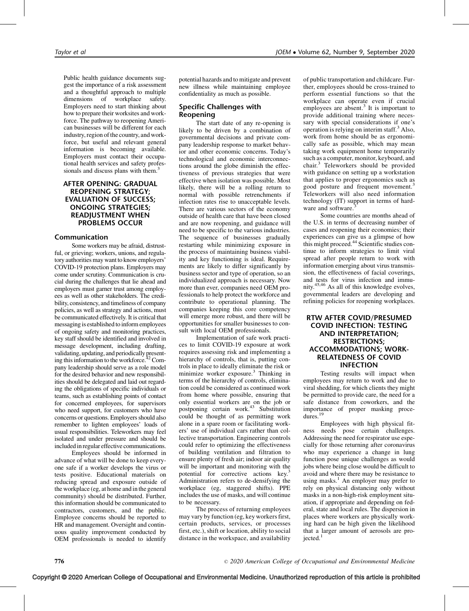Public health guidance documents suggest the importance of a risk assessment and a thoughtful approach to multiple dimensions of workplace safety. Employers need to start thinking about how to prepare their worksites and workforce. The pathway to reopening American businesses will be different for each industry, region of the country, and workforce, but useful and relevant general information is becoming available. Employers must contact their occupational health services and safety professionals and discuss plans with them.<sup>3</sup>

# AFTER OPENING: GRADUAL REOPENING STRATEGY; EVALUATION OF SUCCESS; ONGOING STRATEGIES; READJUSTMENT WHEN PROBLEMS OCCUR

### Communication

Some workers may be afraid, distrustful, or grieving; workers, unions, and regulatory authorities may want to know employers' COVID-19 protection plans. Employers may come under scrutiny. Communication is crucial during the challenges that lie ahead and employers must garner trust among employees as well as other stakeholders. The credibility, consistency, and timeliness of company policies, as well as strategy and actions, must be communicated effectively. It is critical that messaging is established to inform employees of ongoing safety and monitoring practices, key staff should be identified and involved in message development, including drafting, validating, updating, and periodically presenting this information to the workforce.<sup>42</sup> Company leadership should serve as a role model for the desired behavior and new responsibilities should be delegated and laid out regarding the obligations of specific individuals or teams, such as establishing points of contact for concerned employees, for supervisors who need support, for customers who have concerns or questions. Employers should also remember to lighten employees' loads of usual responsibilities. Teleworkers may feel isolated and under pressure and should be included in regular effective communications.

Employees should be informed in advance of what will be done to keep everyone safe if a worker develops the virus or tests positive. Educational materials on reducing spread and exposure outside of the workplace (eg, at home andin the general community) should be distributed. Further, this information should be communicated to contractors, customers, and the public. Employee concerns should be reported to HR and management. Oversight and continuous quality improvement conducted by OEM professionals is needed to identify

potential hazards and to mitigate and prevent new illness while maintaining employee confidentiality as much as possible.

# Specific Challenges with Reopening

The start date of any re-opening is likely to be driven by a combination of governmental decisions and private company leadership response to market behavior and other economic concerns. Today's technological and economic interconnections around the globe diminish the effectiveness of previous strategies that were effective when isolation was possible. Most likely, there will be a rolling return to normal with possible retrenchments if infection rates rise to unacceptable levels. There are various sectors of the economy outside of health care that have been closed and are now reopening, and guidance will need to be specific to the various industries. The sequence of businesses gradually restarting while minimizing exposure in the process of maintaining business viability and key functioning is ideal. Requirements are likely to differ significantly by business sector and type of operation, so an individualized approach is necessary. Now more than ever, companies need OEM professionals to help protect the workforce and contribute to operational planning. The companies keeping this core competency will emerge more robust, and there will be opportunities for smaller businesses to consult with local OEM professionals.

Implementation of safe work practices to limit COVID-19 exposure at work requires assessing risk and implementing a hierarchy of controls, that is, putting controls in place to ideally eliminate the risk or minimize worker exposure.<sup>3</sup> Thinking in terms of the hierarchy of controls, elimination could be considered as continued work from home where possible, ensuring that only essential workers are on the job or postponing certain work.<sup>43</sup> Substitution could be thought of as permitting work alone in a spare room or facilitating workers' use of individual cars rather than collective transportation. Engineering controls could refer to optimizing the effectiveness of building ventilation and filtration to ensure plenty of fresh air; indoor air quality will be important and monitoring with the potential for corrective actions key.3 Administration refers to de-densifying the workplace (eg, staggered shifts). PPE includes the use of masks, and will continue to be necessary.

The process of returning employees may vary by function (eg, key workers first, certain products, services, or processes first, etc.), shift or location, ability to social distance in the workspace, and availability of public transportation and childcare. Further, employees should be cross-trained to perform essential functions so that the workplace can operate even if crucial employees are absent.<sup>3</sup> It is important to provide additional training where necessary with special considerations if one's operation is relying on interim staff.<sup>3</sup> Also, work from home should be as ergonomically safe as possible, which may mean taking work equipment home temporarily such as a computer, monitor, keyboard, and chair.<sup>3</sup> Teleworkers should be provided with guidance on setting up a workstation that applies to proper ergonomics such as good posture and frequent movement.<sup>3</sup> Teleworkers will also need information technology (IT) support in terms of hardware and software.

Some countries are months ahead of the U.S. in terms of decreasing number of cases and reopening their economies; their experiences can give us a glimpse of how this might proceed.<sup>44</sup> Scientific studies continue to inform strategies to limit viral spread after people return to work with information emerging about virus transmission, the effectiveness of facial coverings, and tests for virus infection and immunity.45,46 As all of this knowledge evolves, governmental leaders are developing and refining policies for reopening workplaces.

# RTW AFTER COVID/PRESUMED COVID INFECTION: TESTING AND INTERPRETATION; RESTRICTIONS; ACCOMMODATIONS; WORK-RELATEDNESS OF COVID INFECTION

Testing results will impact when employees may return to work and due to viral shedding, for which clients they might be permitted to provide care, the need for a safe distance from coworkers, and the importance of proper masking procedures.<sup>19</sup>

Employees with high physical fitness needs pose certain challenges. Addressing the need for respirator use especially for those returning after coronavirus who may experience a change in lung function pose unique challenges as would jobs where being close would be difficult to avoid and where there may be resistance to using masks. $<sup>1</sup>$  An employer may prefer to</sup> rely on physical distancing only without masks in a non-high-risk employment situation, if appropriate and depending on federal, state and local rules. The dispersion in places where workers are physically working hard can be high given the likelihood that a larger amount of aerosols are projected.<sup>1</sup>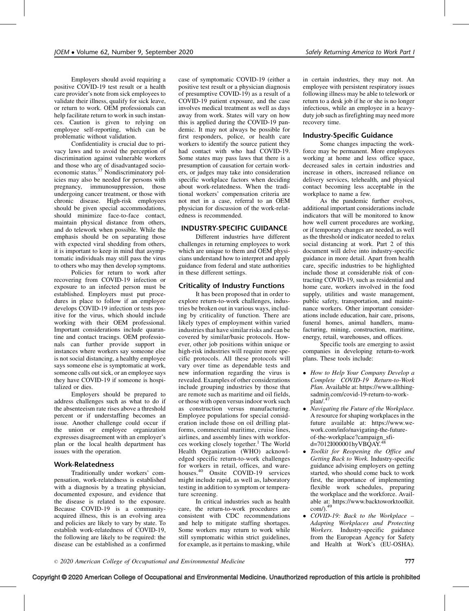Employers should avoid requiring a positive COVID-19 test result or a health care provider's note from sick employees to validate their illness, qualify for sick leave, or return to work. OEM professionals can help facilitate return to work in such instances. Caution is given to relying on employee self-reporting, which can be problematic without validation.

Confidentiality is crucial due to privacy laws and to avoid the perception of discrimination against vulnerable workers and those who are of disadvantaged socioeconomic status.<sup>37</sup> Nondiscriminatory policies may also be needed for persons with pregnancy, immunosuppression, those undergoing cancer treatment, or those with chronic disease. High-risk employees should be given special accommodations, should minimize face-to-face contact, maintain physical distance from others, and do telework when possible. While the emphasis should be on separating those with expected viral shedding from others, it is important to keep in mind that asymptomatic individuals may still pass the virus to others who may then develop symptoms.

Policies for return to work after recovering from COVID-19 infection or exposure to an infected person must be established. Employers must put procedures in place to follow if an employee develops COVID-19 infection or tests positive for the virus, which should include working with their OEM professional. Important considerations include quarantine and contact tracings. OEM professionals can further provide support in instances where workers say someone else is not social distancing, a healthy employee says someone else is symptomatic at work, someone calls out sick, or an employee says they have COVID-19 if someone is hospitalized or dies.

Employers should be prepared to address challenges such as what to do if the absenteeism rate rises above a threshold percent or if understaffing becomes an issue. Another challenge could occur if the union or employee organization expresses disagreement with an employer's plan or the local health department has issues with the operation.

# Work-Relatedness

Traditionally under workers' compensation, work-relatedness is established with a diagnosis by a treating physician, documented exposure, and evidence that the disease is related to the exposure. Because COVID-19 is a communityacquired illness, this is an evolving area and policies are likely to vary by state. To establish work-relatedness of COVID-19, the following are likely to be required: the disease can be established as a confirmed

case of symptomatic COVID-19 (either a positive test result or a physician diagnosis of presumptive COVID-19) as a result of a COVID-19 patient exposure, and the case involves medical treatment as well as days away from work. States will vary on how this is applied during the COVID-19 pandemic. It may not always be possible for first responders, police, or health care workers to identify the source patient they had contact with who had COVID-19. Some states may pass laws that there is a presumption of causation for certain workers, or judges may take into consideration specific workplace factors when deciding about work-relatedness. When the traditional workers' compensation criteria are not met in a case, referral to an OEM physician for discussion of the work-relatedness is recommended.

# INDUSTRY-SPECIFIC GUIDANCE

Different industries have different challenges in returning employees to work which are unique to them and OEM physicians understand how to interpret and apply guidance from federal and state authorities in these different settings.

# Criticality of Industry Functions

It has been proposed that in order to explore return-to-work challenges, industries be broken out in various ways, including by criticality of function. There are likely types of employment within varied industries that have similar risks and can be covered by similar/basic protocols. However, other job positions within unique or high-risk industries will require more specific protocols. All these protocols will vary over time as dependable tests and new information regarding the virus is revealed. Examples of other considerations include grouping industries by those that are remote such as maritime and oil fields, or those with open versus indoor work such as construction versus manufacturing. Employee populations for special consideration include those on oil drilling platforms, commercial maritime, cruise lines, airlines, and assembly lines with workforces working closely together.<sup>1</sup> The World Health Organization (WHO) acknowledged specific return-to-work challenges for workers in retail, offices, and warehouses.<sup>40</sup> Onsite COVID-19 services might include rapid, as well as, laboratory testing in addition to symptom or temperature screening.

In critical industries such as health care, the return-to-work procedures are consistent with CDC recommendations and help to mitigate staffing shortages. Some workers may return to work while still symptomatic within strict guidelines, for example, as it pertains to masking, while

in certain industries, they may not. An employee with persistent respiratory issues following illness may be able to telework or return to a desk job if he or she is no longer infectious, while an employee in a heavyduty job such as firefighting may need more recovery time.

# Industry-Specific Guidance

Some changes impacting the workforce may be permanent. More employees working at home and less office space, decreased sales in certain industries and increase in others, increased reliance on delivery services, telehealth, and physical contact becoming less acceptable in the workplace to name a few.

As the pandemic further evolves, additional important considerations include indicators that will be monitored to know how well current procedures are working, or if temporary changes are needed, as well as the threshold or indicator needed to relax social distancing at work. Part 2 of this document will delve into industry-specific guidance in more detail. Apart from health care, specific industries to be highlighted include those at considerable risk of contracting COVID-19, such as residential and home care, workers involved in the food supply, utilities and waste management, public safety, transportation, and maintenance workers. Other important considerations include education, hair care, prisons, funeral homes, animal handlers, manufacturing, mining, construction, maritime, energy, retail, warehouses, and offices.

Specific tools are emerging to assist companies in developing return-to-work plans. These tools include:

- How to Help Your Company Develop a Complete COVID-19 Return-to-Work Plan. Available at: [https://www.allthing](https://www.allthingsadmin.com/covid-19-return-to-work-plan/)[sadmin.com/covid-19-return-to-work](https://www.allthingsadmin.com/covid-19-return-to-work-plan/) $plan/247$  $plan/247$
- Navigating the Future of the Workplace. A resource for shaping workplaces in the future available at: [https://www.we](https://www.wework.com/info/navigating-the-future-of-the-workplace?campaign_sfid=7012I000001hyVBQAY)[work.com/info/navigating-the-future](https://www.wework.com/info/navigating-the-future-of-the-workplace?campaign_sfid=7012I000001hyVBQAY)[of-the-workplace?campaign\\_sfi](https://www.wework.com/info/navigating-the-future-of-the-workplace?campaign_sfid=7012I000001hyVBQAY)d=7012I000001hyVBOAY.
- - Toolkit for Reopening the Office and Getting Back to Work. Industry-specific guidance advising employers on getting started, who should come back to work first, the importance of implementing flexible work schedules, preparing the workplace and the workforce. Available at: [https://www.backtoworktoolkit.](https://www.backtoworktoolkit.com/)  $com/$ ).<sup>49</sup>
- COVID-19: Back to the Workplace Adapting Workplaces and Protecting Workers. Industry-specific guidance from the European Agency for Safety and Health at Work's (EU-OSHA).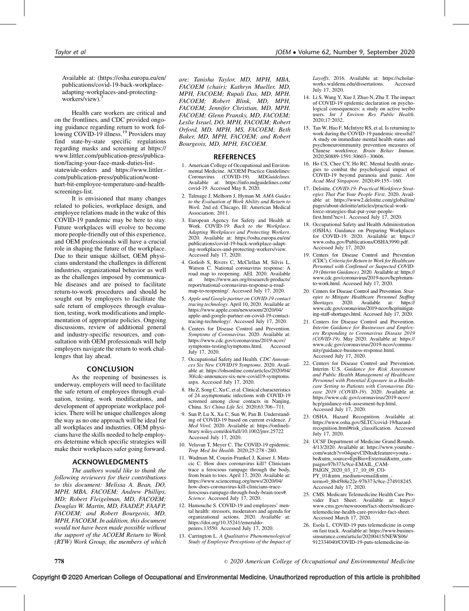Available at: ([https://osha.europa.eu/en/](https://osha.europa.eu/en/publications/covid-19-back-workplace-adapting-workplaces-and-protecting-workers/view) [publications/covid-19-back-workplace](https://osha.europa.eu/en/publications/covid-19-back-workplace-adapting-workplaces-and-protecting-workers/view)[adapting-workplaces-and-protecting](https://osha.europa.eu/en/publications/covid-19-back-workplace-adapting-workplaces-and-protecting-workers/view)[workers/view](https://osha.europa.eu/en/publications/covid-19-back-workplace-adapting-workplaces-and-protecting-workers/view)).

Health care workers are critical and on the frontlines, and CDC provided ongoing guidance regarding return to work following COVID-19 illness.<sup>19</sup> Providers may find state-by-state specific regulations regarding masks and screening at [https://](https://www.littler.com/publication-press/publication/facing-your-face-mask-duties-list-statewide-orders) [www.littler.com/publication-press/publica](https://www.littler.com/publication-press/publication/facing-your-face-mask-duties-list-statewide-orders)[tion/facing-your-face-mask-duties-list](https://www.littler.com/publication-press/publication/facing-your-face-mask-duties-list-statewide-orders)[statewide-orders](https://www.littler.com/publication-press/publication/facing-your-face-mask-duties-list-statewide-orders) and [https://www.littler.](https://www.littler.com/publication-press/publication/wont-hurt-bit-employee-temperature-and-health-screenings-list) [com/publication-press/publication/wont](https://www.littler.com/publication-press/publication/wont-hurt-bit-employee-temperature-and-health-screenings-list)[hurt-bit-employee-temperature-and-health](https://www.littler.com/publication-press/publication/wont-hurt-bit-employee-temperature-and-health-screenings-list)[screenings-list.](https://www.littler.com/publication-press/publication/wont-hurt-bit-employee-temperature-and-health-screenings-list)

It is envisioned that many changes related to policies, workplace design, and employee relations made in the wake of this COVID-19 pandemic may be here to stay. Future workplaces will evolve to become more people-friendly out of this experience, and OEM professionals will have a crucial role in shaping the future of the workplace. Due to their unique skillset, OEM physicians understand the challenges in different industries, organizational behavior as well as the challenges imposed by communicable diseases and are poised to facilitate return-to-work procedures and should be sought out by employers to facilitate the safe return of employees through evaluation, testing, work modifications and implementation of appropriate policies. Ongoing discussions, review of additional general and industry-specific resources, and consultation with OEM professionals will help employers navigate the return to work challenges that lay ahead.

# **CONCLUSION**

As the reopening of businesses is underway, employers will need to facilitate the safe return of employees through evaluation, testing, work modifications, and development of appropriate workplace policies. There will be unique challenges along the way as no one approach will be ideal for all workplaces and industries. OEM physicians have the skills needed to help employers determine which specific strategies will make their workplaces safer going forward.

# ACKNOWLEDGMENTS

The authors would like to thank the following reviewers for their contributions to this document: Melissa A. Bean, DO, MPH, MBA, FACOEM; Andrew Phillips, MD; Robert Fleigelman, MD, FACOEM; Douglas W. Martin, MD, FAADEP, FAAFP, FACOEM; and Robert Bourgeois, MD, MPH, FACOEM. In addition, this document would not have been made possible without the support of the ACOEM Return to Work (RTW) Work Group, the members of which are: Tanisha Taylor, MD, MPH, MBA, FACOEM (chair); Kathryn Mueller, MD, MPH, FACOEM; Rupali Das, MD, MPH, FACOEM; Robert Blink, MD, MPH, FACOEM; Jennifer Christian, MD, MPH, FACOEM; Glenn Pransky, MD, FACOEM; Leslie Israel, DO, MPH, FACOEM; Robert Orford, MD, MPH, MS, FACOEM; Beth Baker, MD, MPH, FACOEM; and Robert Bourgeois, MD, MPH, FACOEM.

### REFERENCES

- 1. American College of Occupational and Environmental Medicine. ACOEM Practice Guidelines: Coronavirus (COVID-19). MDGuidelines. Available at: [https://info.mdguidelines.com/](https://info.mdguidelines.com/covid-19) [covid-19. Accessed May 8, 2020.](https://info.mdguidelines.com/covid-19)
- 2. Talmage J, Melhorn J, Hyman M. AMA Guides to the Evaluation of Work Ability and Return to Work. 2nd ed. Chicago, Ill: American Medical Association; 2011.
- 3. European Agency for Safety and Health at Work. COVID-19: Back to the Workplace. Adapting Workplaces and Protecting Workers. 2020. Available at: [https://osha.europa.eu/en/](https://osha.europa.eu/en/publications/covid-19-back-workplace-adapting-workplaces-and-protecting-workers/view) [publications/covid-19-back-workplace-adapt](https://osha.europa.eu/en/publications/covid-19-back-workplace-adapting-workplaces-and-protecting-workers/view)[ing-workplaces-and-protecting-workers/view.](https://osha.europa.eu/en/publications/covid-19-back-workplace-adapting-workplaces-and-protecting-workers/view) [Accessed July 17, 2020.](https://osha.europa.eu/en/publications/covid-19-back-workplace-adapting-workplaces-and-protecting-workers/view)
- 4. Gotleib S, Rivers C, McClellan M, Silvis L, Watson C. National coronavirus response: A road map to reopening. AEI. 2020. Available<br>at https://www.aei.org/reseaerch-products/ https://www.aei.org/reseaerch-products/ [report/national-coronavirus-response-a-road](https://www.aei.org/reseaerch-products/report/national-coronavirus-response-a-road-map-to-reopening/)[map-to-reopening/. Accessed July 17, 2020.](https://www.aei.org/reseaerch-products/report/national-coronavirus-response-a-road-map-to-reopening/)
- 5. Apple and Google partner on COVID-19 contact tracing technology. April 10, 2020. Available at: [https://www.apple.com/newsroom/2020/04/](https://www.apple.com/newsroom/2020/04/apple-and-google-partner-on-covid-19-contact-tracing-technology/) [apple-and-google-partner-on-covid-19-contact](https://www.apple.com/newsroom/2020/04/apple-and-google-partner-on-covid-19-contact-tracing-technology/)[tracing-technology/. Accessed July 17, 2020.](https://www.apple.com/newsroom/2020/04/apple-and-google-partner-on-covid-19-contact-tracing-technology/)
- 6. Centers for Disease Control and Prevention. Symptoms of Coronavirus. 2020. Available at: [https://www.cdc.gov/coronavirus/2019-ncov/](https://www.cdc.gov/coronavirus/2019-ncov/symptoms-testing/symptoms.html) [symptoms-testing/symptoms.html. Accessed](https://www.cdc.gov/coronavirus/2019-ncov/symptoms-testing/symptoms.html) [July 17, 2020.](https://www.cdc.gov/coronavirus/2019-ncov/symptoms-testing/symptoms.html)
- 7. Occupational Safety and Health. CDC Announces Six New COVID19 Symptoms. 2020. Available at: [https://ohsonline.com/articles/2020/04/](https://ohsonline.com/articles/2020/04/30/cdc-announces-six-new-covid19-symptoms.aspx) [30/cdc-announces-six-new-covid19-symptoms.](https://ohsonline.com/articles/2020/04/30/cdc-announces-six-new-covid19-symptoms.aspx) [aspx. Accessed July 17, 2020.](https://ohsonline.com/articles/2020/04/30/cdc-announces-six-new-covid19-symptoms.aspx)
- 8. Hu Z, Song C, Xu C, et al. Clinical characteristics of 24 asymptomatic infections with COVID-19 screened among close contacts in Nanjing, China. Sci China Life Sci. 2020;63:706–711.
- 9. Sun P, Lu X, Xu C, Sun W, Pan B. Understanding of COVID-19 based on current evidence. J Med Virol. 2020. Available at: [https://onlineli](https://onlinelibrary.wiley.com/doi/full/10.1002/jmv.25722)[brary.wiley.com/doi/full/10.1002/jmv.25722](https://onlinelibrary.wiley.com/doi/full/10.1002/jmv.25722) Accessed July 17, 2020.
- 10. Velavan T, Meyer C. The COVID-19 epidemic. Trop Med Int Health. 2020;25:278–280.
- 11. Wadman M, Couzin-Frankel J, Kaiser J, Matacic C. How does coronavirus kill? Clinicians trace a ferocious rampage through the body, from brain to toes. April 17, 2020. Available at: [https://www.sciencemag.org/news/2020/04/](https://www.sciencemag.org/news/2020/04/how-does-coronavirus-kill-clinicians-trace-ferocious-rampage-through-body-brain-toes%23) [how-does-coronavirus-kill-clinicians-trace](https://www.sciencemag.org/news/2020/04/how-does-coronavirus-kill-clinicians-trace-ferocious-rampage-through-body-brain-toes%23)[ferocious-rampage-through-body-brain-toes#.](https://www.sciencemag.org/news/2020/04/how-does-coronavirus-kill-clinicians-trace-ferocious-rampage-through-body-brain-toes%23) Science[. Accessed July 17, 2020.](https://www.sciencemag.org/news/2020/04/how-does-coronavirus-kill-clinicians-trace-ferocious-rampage-through-body-brain-toes%23)
- 12. Hamouche S. COVID-19 and employees' mental health: stressors, moderators and agenda for organizational actions. 2020. Available at: [https://doi.org/10.35241/emeraldo](https://doi.org/10.35241/emeraldopenres.13550)[penres.13550. Accessed July 17, 2020.](https://doi.org/10.35241/emeraldopenres.13550)
- 13. Carrington L. A Qualitative Phenomenological Study of Employee Perceptions of the Impact of

Layoffs. 2016. Available at: https://scholar-<br>works.waldenu.edu/dissertations. Accessed works.waldenu.edu/dissertations. [July 17, 2020.](https://scholarworks.waldenu.edu/dissertations)

- 14. Li S, Wang Y, Xue J, Zhao N, Zhu T. The impact of COVID-19 epidemic declaration on psychological consequences: a study on active weibo users. Int  $J$  Environ Res Public Health. 2020;17:2032.
- 15. Tan W, Hao F, McIntyre RS, et al. Is returning to work during the COVID-19 pandemic stressful? A study on immediate mental health status and psychoneuroimmunity prevention measures of Chinese workforce. Brain Behav Immun. 2020;S0889-1591:30603–30606.
- 16. Ho CS, Chee CY, Ho RC. Mental health strategies to combat the psychological impact of COVID-19 beyond paranoia and panic. Ann Acad Med Singapore. 2020;49:155–160.
- 17. Deloitte. COVID-19: Practical Workforce Strategies That Put Your People First. 2020. Available at: [https://www2.deloitte.com/global/en/](https://www2.deloitte.com/global/en/pages/about-deloitte/articles/practical-workforce-strategies-that-put-your-people-first.html?nc=1) [pages/about-deloitte/articles/practical-work](https://www2.deloitte.com/global/en/pages/about-deloitte/articles/practical-workforce-strategies-that-put-your-people-first.html?nc=1)[force-strategies-that-put-your-people](https://www2.deloitte.com/global/en/pages/about-deloitte/articles/practical-workforce-strategies-that-put-your-people-first.html?nc=1)[first.html?nc=1. Accessed July 17, 2020.](https://www2.deloitte.com/global/en/pages/about-deloitte/articles/practical-workforce-strategies-that-put-your-people-first.html?nc=1)
- 18. Occupational Safety and Health Administration (OSHA). Guidance on Preparing Workplaces for COVID-19. 2020. Available at: [https://](https://www.osha.gov/Publications/OSHA3990.pdf) [www.osha.gov/Publications/OSHA3990.pdf.](https://www.osha.gov/Publications/OSHA3990.pdf) [Accessed July 17, 2020.](https://www.osha.gov/Publications/OSHA3990.pdf)
- 19. Centers for Disease Control and Prevention (CDC). Criteria for Return to Work for Healthcare Personnel with Confirmed or Suspected COVID-19 (Interim Guidance). 2020. Available at: [https://](https://www.cdc.gov/coronavirus/2019-ncov/hcp/return-to-work.html) [www.cdc.gov/coronavirus/2019-ncov/hcp/return](https://www.cdc.gov/coronavirus/2019-ncov/hcp/return-to-work.html)[to-work.html. Accessed July 17, 2020.](https://www.cdc.gov/coronavirus/2019-ncov/hcp/return-to-work.html)
- 20. Centers for Disease Control and Prevention. Strategies to Mitigate Healthcare Personnel Staffing Shortages. 2020. Available at: [https://](https://www.cdc.gov/coronavirus/2019-ncov/hcp/mitigating-staff-shortages.html) [www.cdc.gov/coronavirus/2019-ncov/hcp/mitigat](https://www.cdc.gov/coronavirus/2019-ncov/hcp/mitigating-staff-shortages.html)[ing-staff-shortages.html. Accessed July 17, 2020.](https://www.cdc.gov/coronavirus/2019-ncov/hcp/mitigating-staff-shortages.html)
- 21. Centers for Disease Control and Prevention. Interim Guidance for Businesses and Employers Responding to Coronavirus Disease 2019 (COVID-19). May 2020. Available at: [https://](https://www.cdc.gov/coronavirus/2019-ncov/community/guidance-business-response.html) [www.cdc.gov/coronavirus/2019-ncov/commu](https://www.cdc.gov/coronavirus/2019-ncov/community/guidance-business-response.html)[nity/guidance-business-response.html.](https://www.cdc.gov/coronavirus/2019-ncov/community/guidance-business-response.html) [Accessed July 17, 2020.](https://www.cdc.gov/coronavirus/2019-ncov/community/guidance-business-response.html)
- 22. Centers for Disease Control and Prevention. Interim U.S. Guidance for Risk Assessment and Public Health Management of Healthcare Personnel with Potential Exposure in a Healthcare Setting to Patients with Coronavirus Disease  $2019$  (COVID-19). 2020. Available at: [https://www.cdc.gov/coronavirus/2019-ncov/](https://www.cdc.gov/coronavirus/2019-ncov/hcp/guidance-risk-assesment-hcp.html) [hcp/guidance-risk-assesment-hcp.html.](https://www.cdc.gov/coronavirus/2019-ncov/hcp/guidance-risk-assesment-hcp.html) [Accessed July 17, 2020.](https://www.cdc.gov/coronavirus/2019-ncov/hcp/guidance-risk-assesment-hcp.html)
- 23. OSHA. Hazard Recognition. Available at: [https://www.osha.gov/SLTC/covid-19/hazard](https://www.osha.gov/SLTC/covid-19/hazardrecognition.html%23risk_classification)[recognition.html#risk\\_classification. Accessed](https://www.osha.gov/SLTC/covid-19/hazardrecognition.html%23risk_classification) [July 17, 2020.](https://www.osha.gov/SLTC/covid-19/hazardrecognition.html%23risk_classification)
- 24. UCSF Department of Medicine Grand Rounds. 4/13/2020. Available at: [https://www.youtube.](https://www.youtube.com/watch?v=04qsevCINhs%26feature=youtu.be%26utm_source=EpiBio+External%26utm_campaign=97b373c9ce-EMAIL_CAMPAIGN_2020_03_17_10_09_COPY_01%26utm_medium=email%26utm_term=0_8b45b8e22e-97b373c9ce-274918245) [com/watch?v=04qsevCINhs&feature=youtu.](https://www.youtube.com/watch?v=04qsevCINhs%26feature=youtu.be%26utm_source=EpiBio+External%26utm_campaign=97b373c9ce-EMAIL_CAMPAIGN_2020_03_17_10_09_COPY_01%26utm_medium=email%26utm_term=0_8b45b8e22e-97b373c9ce-274918245) [be&utm\\_source=EpiBio+External&utm\\_cam](https://www.youtube.com/watch?v=04qsevCINhs%26feature=youtu.be%26utm_source=EpiBio+External%26utm_campaign=97b373c9ce-EMAIL_CAMPAIGN_2020_03_17_10_09_COPY_01%26utm_medium=email%26utm_term=0_8b45b8e22e-97b373c9ce-274918245)[paign=97b373c9ce-EMAIL\\_CAM-](https://www.youtube.com/watch?v=04qsevCINhs%26feature=youtu.be%26utm_source=EpiBio+External%26utm_campaign=97b373c9ce-EMAIL_CAMPAIGN_2020_03_17_10_09_COPY_01%26utm_medium=email%26utm_term=0_8b45b8e22e-97b373c9ce-274918245)[PAIGN\\_2020\\_03\\_17\\_10\\_09\\_CO-](https://www.youtube.com/watch?v=04qsevCINhs%26feature=youtu.be%26utm_source=EpiBio+External%26utm_campaign=97b373c9ce-EMAIL_CAMPAIGN_2020_03_17_10_09_COPY_01%26utm_medium=email%26utm_term=0_8b45b8e22e-97b373c9ce-274918245)[PY\\_01&utm\\_medium=email&utm\\_](https://www.youtube.com/watch?v=04qsevCINhs%26feature=youtu.be%26utm_source=EpiBio+External%26utm_campaign=97b373c9ce-EMAIL_CAMPAIGN_2020_03_17_10_09_COPY_01%26utm_medium=email%26utm_term=0_8b45b8e22e-97b373c9ce-274918245) [term=0\\_8b45b8e22e-97b373c9ce-274918245.](https://www.youtube.com/watch?v=04qsevCINhs%26feature=youtu.be%26utm_source=EpiBio+External%26utm_campaign=97b373c9ce-EMAIL_CAMPAIGN_2020_03_17_10_09_COPY_01%26utm_medium=email%26utm_term=0_8b45b8e22e-97b373c9ce-274918245) [Accessed July 17, 2020.](https://www.youtube.com/watch?v=04qsevCINhs%26feature=youtu.be%26utm_source=EpiBio+External%26utm_campaign=97b373c9ce-EMAIL_CAMPAIGN_2020_03_17_10_09_COPY_01%26utm_medium=email%26utm_term=0_8b45b8e22e-97b373c9ce-274918245)
- 25. CMS. Medicare Telemedicine Health Care Provider Fact Sheet. Available at: [https://](https://www.cms.gov/newsroom/fact-sheets/medicare-telemedicine-health-care-provider-fact-sheet) [www.cms.gov/newsroom/fact-sheets/medicare](https://www.cms.gov/newsroom/fact-sheets/medicare-telemedicine-health-care-provider-fact-sheet)[telemedicine-health-care-provider-fact-sheet.](https://www.cms.gov/newsroom/fact-sheets/medicare-telemedicine-health-care-provider-fact-sheet) [Accessed March 17, 2020.](https://www.cms.gov/newsroom/fact-sheets/medicare-telemedicine-health-care-provider-fact-sheet)
- 26. Esola L. COVID-19 puts telemedicine in comp on fast track. Available at: [https://www.busines](https://www.businessinsurance.com/article/20200415/NEWS06/912334040/COVID-19-puts-telemedicine-in-comp-on-fast-track-coronavirus)[sinsurance.com/article/20200415/NEWS06/](https://www.businessinsurance.com/article/20200415/NEWS06/912334040/COVID-19-puts-telemedicine-in-comp-on-fast-track-coronavirus) [912334040/COVID-19-puts-telemedicine-in-](https://www.businessinsurance.com/article/20200415/NEWS06/912334040/COVID-19-puts-telemedicine-in-comp-on-fast-track-coronavirus)